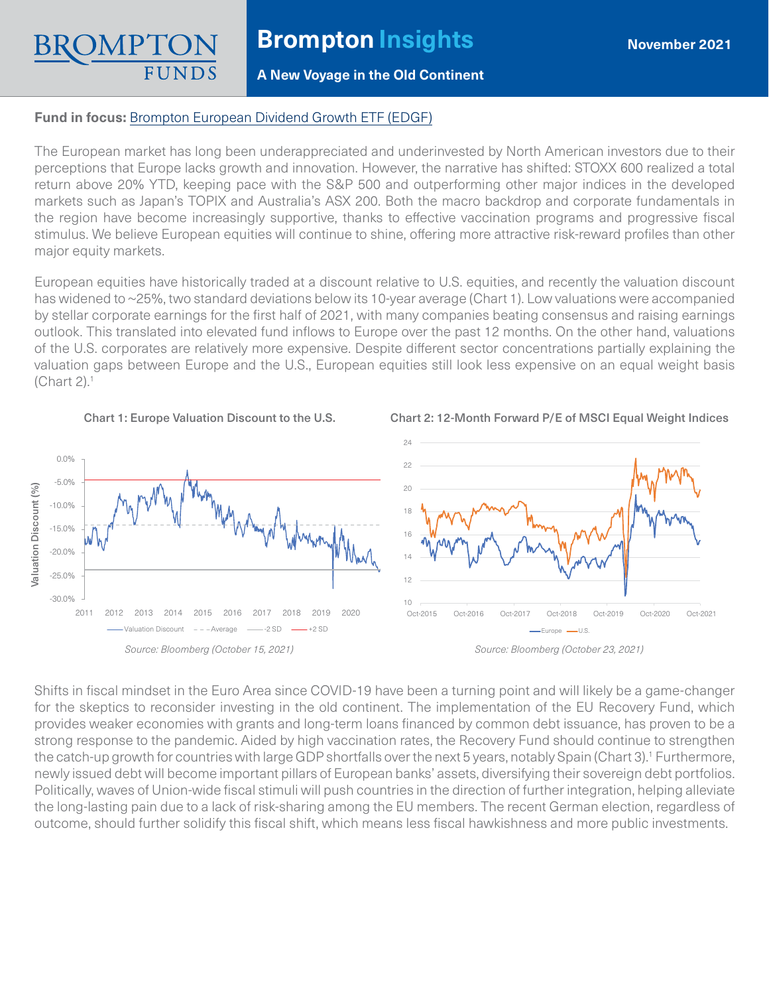## **A New Voyage in the Old Continent**

## **Fund in focus:** [Brompton European Dividend Growth ETF \(EDGF\)](https://www.bromptongroup.com/product/european-dividend-growth-fund/)

The European market has long been underappreciated and underinvested by North American investors due to their perceptions that Europe lacks growth and innovation. However, the narrative has shifted: STOXX 600 realized a total return above 20% YTD, keeping pace with the S&P 500 and outperforming other major indices in the developed markets such as Japan's TOPIX and Australia's ASX 200. Both the macro backdrop and corporate fundamentals in the region have become increasingly supportive, thanks to effective vaccination programs and progressive fiscal stimulus. We believe European equities will continue to shine, offering more attractive risk-reward profiles than other major equity markets.

European equities have historically traded at a discount relative to U.S. equities, and recently the valuation discount has widened to ~25%, two standard deviations below its 10-year average (Chart 1). Low valuations were accompanied by stellar corporate earnings for the first half of 2021, with many companies beating consensus and raising earnings outlook. This translated into elevated fund inflows to Europe over the past 12 months. On the other hand, valuations of the U.S. corporates are relatively more expensive. Despite different sector concentrations partially explaining the valuation gaps between Europe and the U.S., European equities still look less expensive on an equal weight basis  $(Chart 2).<sup>1</sup>$ 





Chart 2: 12-Month Forward P/E of MSCI Equal Weight Indices



Shifts in fiscal mindset in the Euro Area since COVID-19 have been a turning point and will likely be a game-changer for the skeptics to reconsider investing in the old continent. The implementation of the EU Recovery Fund, which provides weaker economies with grants and long-term loans financed by common debt issuance, has proven to be a strong response to the pandemic. Aided by high vaccination rates, the Recovery Fund should continue to strengthen the catch-up growth for countries with large GDP shortfalls over the next 5 years, notably Spain (Chart 3).<sup>1</sup> Furthermore, newly issued debt will become important pillars of European banks' assets, diversifying their sovereign debt portfolios. Politically, waves of Union-wide fiscal stimuli will push countries in the direction of further integration, helping alleviate the long-lasting pain due to a lack of risk-sharing among the EU members. The recent German election, regardless of outcome, should further solidify this fiscal shift, which means less fiscal hawkishness and more public investments.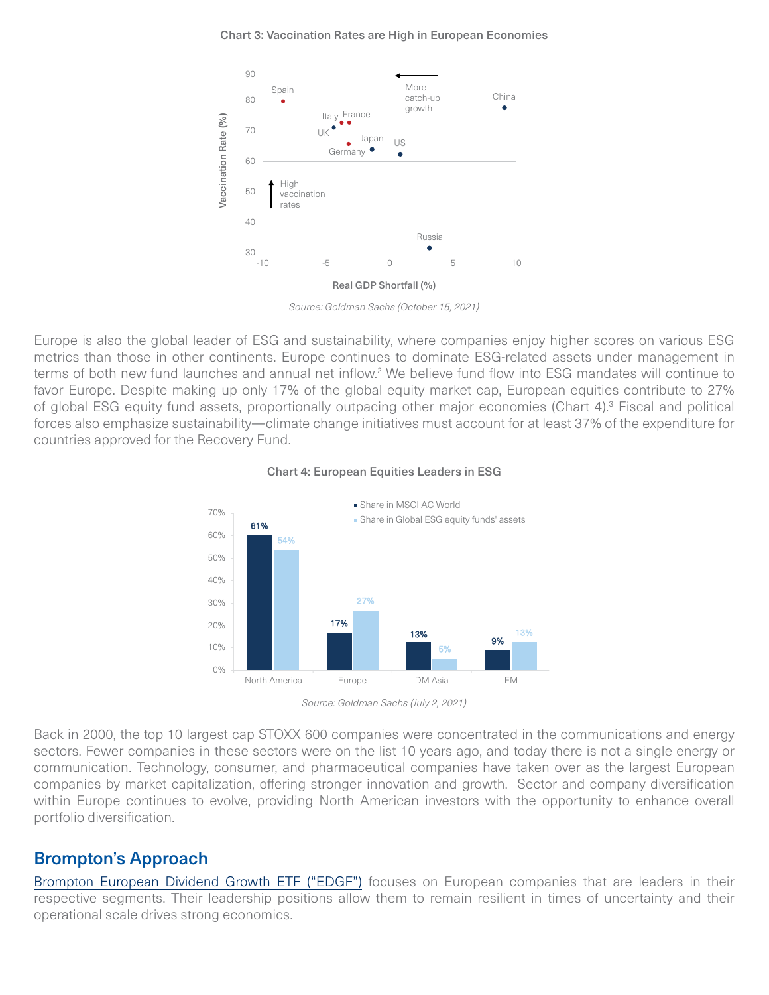#### Chart 3: Vaccination Rates are High in European Economies



*Source: Goldman Sachs (October 15, 2021)* 

Europe is also the global leader of ESG and sustainability, where companies enjoy higher scores on various ESG metrics than those in other continents. Europe continues to dominate ESG-related assets under management in terms of both new fund launches and annual net inflow.<sup>2</sup> We believe fund flow into ESG mandates will continue to favor Europe. Despite making up only 17% of the global equity market cap, European equities contribute to 27% of global ESG equity fund assets, proportionally outpacing other major economies (Chart 4).<sup>3</sup> Fiscal and political forces also emphasize sustainability—climate change initiatives must account for at least 37% of the expenditure for countries approved for the Recovery Fund.



#### Chart 4: European Equities Leaders in ESG

Back in 2000, the top 10 largest cap STOXX 600 companies were concentrated in the communications and energy sectors. Fewer companies in these sectors were on the list 10 years ago, and today there is not a single energy or communication. Technology, consumer, and pharmaceutical companies have taken over as the largest European companies by market capitalization, offering stronger innovation and growth. Sector and company diversification within Europe continues to evolve, providing North American investors with the opportunity to enhance overall portfolio diversification.

# Brompton's Approach

[Brompton European Dividend Growth ETF \("EDGF"\)](https://www.bromptongroup.com/product/european-dividend-growth-fund/) focuses on European companies that are leaders in their respective segments. Their leadership positions allow them to remain resilient in times of uncertainty and their operational scale drives strong economics.

*Source: Goldman Sachs (July 2, 2021)*